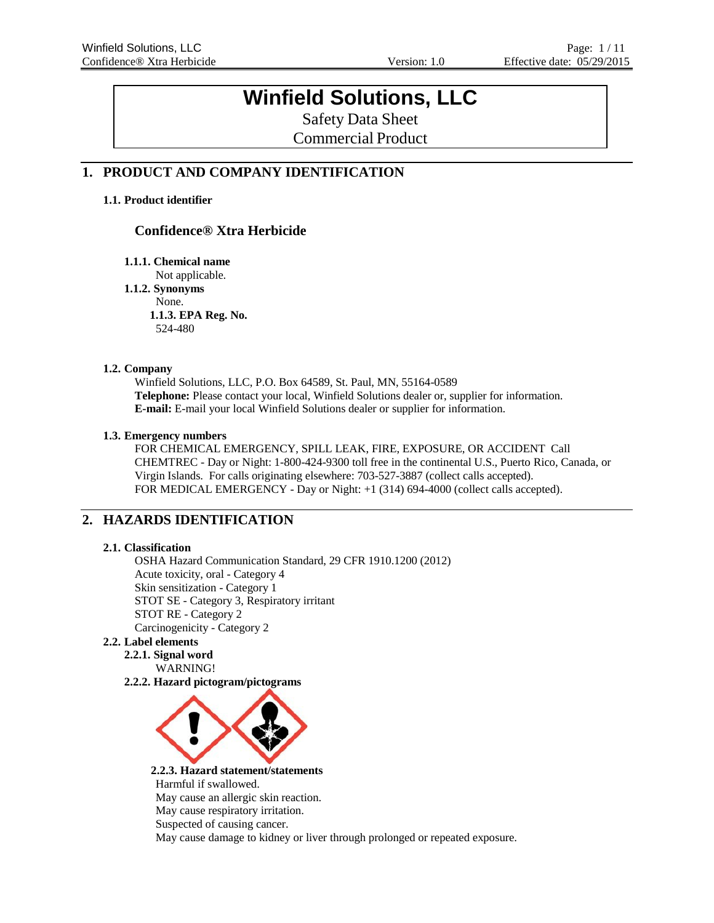# **Winfield Solutions, LLC**

Safety Data Sheet Commercial Product

## **1. PRODUCT AND COMPANY IDENTIFICATION**

## **1.1. Product identifier**

## **Confidence® Xtra Herbicide**

**1.1.1. Chemical name**

Not applicable. **1.1.2. Synonyms** None. **1.1.3. EPA Reg. No.** 524-480

#### **1.2. Company**

Winfield Solutions, LLC, P.O. Box 64589, St. Paul, MN, 55164-0589 **Telephone:** Please contact your local, Winfield Solutions dealer or, supplier for information. **E-mail:** E-mail your local Winfield Solutions dealer or supplier for information.

#### **1.3. Emergency numbers**

FOR CHEMICAL EMERGENCY, SPILL LEAK, FIRE, EXPOSURE, OR ACCIDENT Call CHEMTREC - Day or Night: 1-800-424-9300 toll free in the continental U.S., Puerto Rico, Canada, or Virgin Islands. For calls originating elsewhere: 703-527-3887 (collect calls accepted). FOR MEDICAL EMERGENCY - Day or Night: +1 (314) 694-4000 (collect calls accepted).

## **2. HAZARDS IDENTIFICATION**

#### **2.1. Classification**

OSHA Hazard Communication Standard, 29 CFR 1910.1200 (2012) Acute toxicity, oral - Category 4 Skin sensitization - Category 1 STOT SE - Category 3, Respiratory irritant STOT RE - Category 2 Carcinogenicity - Category 2

## **2.2. Label elements**

**2.2.1. Signal word** WARNING!

**2.2.2. Hazard pictogram/pictograms**



**2.2.3. Hazard statement/statements** Harmful if swallowed. May cause an allergic skin reaction. May cause respiratory irritation. Suspected of causing cancer. May cause damage to kidney or liver through prolonged or repeated exposure.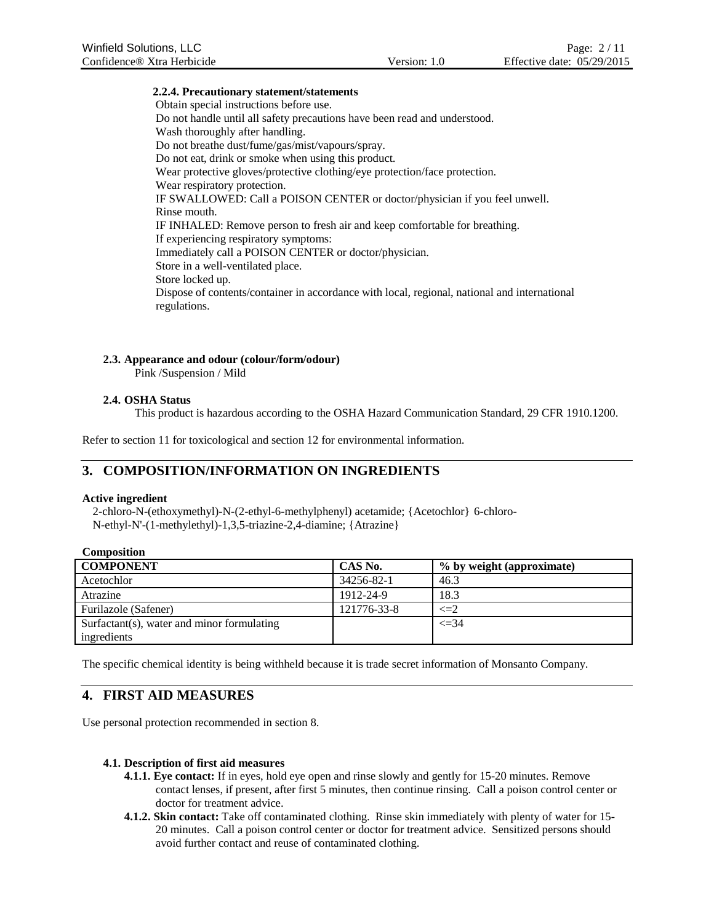#### **2.2.4. Precautionary statement/statements**

Obtain special instructions before use. Do not handle until all safety precautions have been read and understood. Wash thoroughly after handling. Do not breathe dust/fume/gas/mist/vapours/spray. Do not eat, drink or smoke when using this product. Wear protective gloves/protective clothing/eye protection/face protection. Wear respiratory protection. IF SWALLOWED: Call a POISON CENTER or doctor/physician if you feel unwell. Rinse mouth. IF INHALED: Remove person to fresh air and keep comfortable for breathing. If experiencing respiratory symptoms: Immediately call a POISON CENTER or doctor/physician. Store in a well-ventilated place. Store locked up. Dispose of contents/container in accordance with local, regional, national and international regulations.

## **2.3. Appearance and odour (colour/form/odour)**

Pink /Suspension / Mild

### **2.4. OSHA Status**

This product is hazardous according to the OSHA Hazard Communication Standard, 29 CFR 1910.1200.

Refer to section 11 for toxicological and section 12 for environmental information.

## **3. COMPOSITION/INFORMATION ON INGREDIENTS**

#### **Active ingredient**

2-chloro-N-(ethoxymethyl)-N-(2-ethyl-6-methylphenyl) acetamide; {Acetochlor} 6-chloro-N-ethyl-N'-(1-methylethyl)-1,3,5-triazine-2,4-diamine; {Atrazine}

| <b>Composition</b>                         |             |                           |
|--------------------------------------------|-------------|---------------------------|
| <b>COMPONENT</b>                           | CAS No.     | % by weight (approximate) |
| Acetochlor                                 | 34256-82-1  | 46.3                      |
| Atrazine                                   | 1912-24-9   | 18.3                      |
| Furilazole (Safener)                       | 121776-33-8 | $\leq=2$                  |
| Surfactant(s), water and minor formulating |             | $\leq 34$                 |
| ingredients                                |             |                           |

The specific chemical identity is being withheld because it is trade secret information of Monsanto Company.

## **4. FIRST AID MEASURES**

Use personal protection recommended in section 8.

#### **4.1. Description of first aid measures**

- **4.1.1. Eye contact:** If in eyes, hold eye open and rinse slowly and gently for 15-20 minutes. Remove contact lenses, if present, after first 5 minutes, then continue rinsing. Call a poison control center or doctor for treatment advice.
- **4.1.2. Skin contact:** Take off contaminated clothing. Rinse skin immediately with plenty of water for 15- 20 minutes. Call a poison control center or doctor for treatment advice. Sensitized persons should avoid further contact and reuse of contaminated clothing.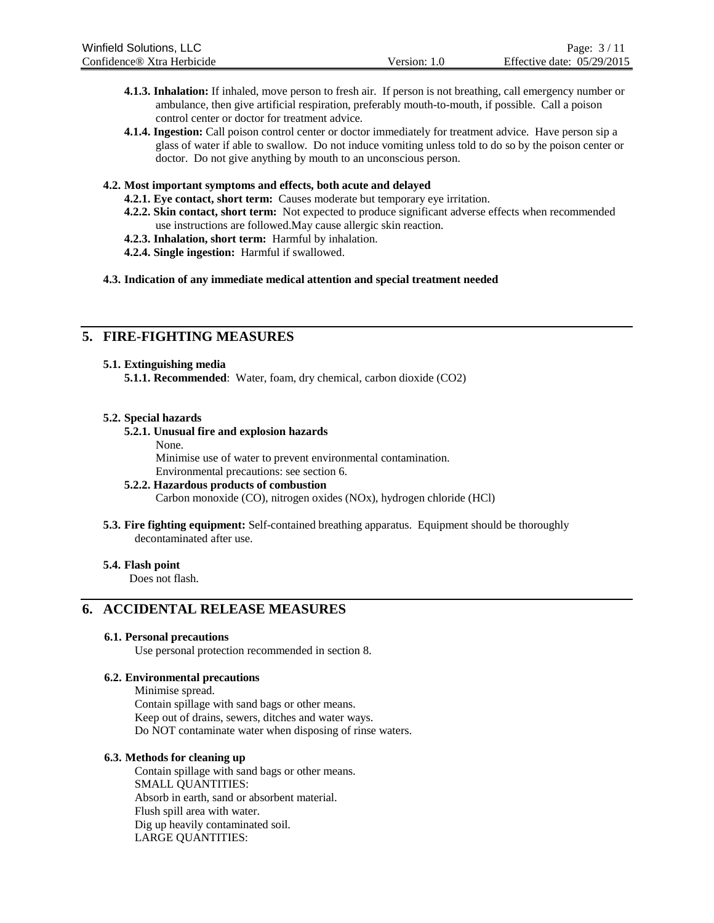- **4.1.3. Inhalation:** If inhaled, move person to fresh air. If person is not breathing, call emergency number or ambulance, then give artificial respiration, preferably mouth-to-mouth, if possible. Call a poison control center or doctor for treatment advice.
- **4.1.4. Ingestion:** Call poison control center or doctor immediately for treatment advice. Have person sip a glass of water if able to swallow. Do not induce vomiting unless told to do so by the poison center or doctor. Do not give anything by mouth to an unconscious person.

#### **4.2. Most important symptoms and effects, both acute and delayed**

- **4.2.1. Eye contact, short term:** Causes moderate but temporary eye irritation.
- **4.2.2. Skin contact, short term:** Not expected to produce significant adverse effects when recommended use instructions are followed.May cause allergic skin reaction.
- **4.2.3. Inhalation, short term:** Harmful by inhalation.
- **4.2.4. Single ingestion:** Harmful if swallowed.

#### **4.3. Indication of any immediate medical attention and special treatment needed**

## **5. FIRE-FIGHTING MEASURES**

#### **5.1. Extinguishing media**

**5.1.1. Recommended**: Water, foam, dry chemical, carbon dioxide (CO2)

#### **5.2. Special hazards**

#### **5.2.1. Unusual fire and explosion hazards**

None.

Minimise use of water to prevent environmental contamination. Environmental precautions: see section 6.

#### **5.2.2. Hazardous products of combustion**

Carbon monoxide (CO), nitrogen oxides (NOx), hydrogen chloride (HCl)

**5.3. Fire fighting equipment:** Self-contained breathing apparatus. Equipment should be thoroughly decontaminated after use.

#### **5.4. Flash point**

Does not flash.

## **6. ACCIDENTAL RELEASE MEASURES**

#### **6.1. Personal precautions**

Use personal protection recommended in section 8.

#### **6.2. Environmental precautions**

Minimise spread. Contain spillage with sand bags or other means. Keep out of drains, sewers, ditches and water ways. Do NOT contaminate water when disposing of rinse waters.

#### **6.3. Methods for cleaning up**

Contain spillage with sand bags or other means. SMALL QUANTITIES: Absorb in earth, sand or absorbent material. Flush spill area with water. Dig up heavily contaminated soil. LARGE QUANTITIES: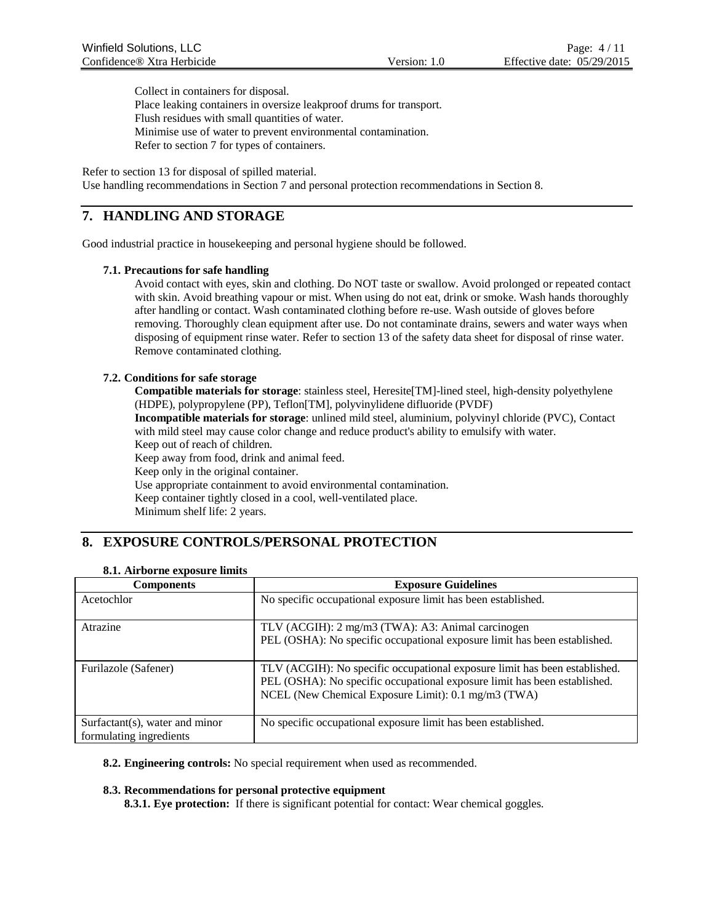Collect in containers for disposal.

Place leaking containers in oversize leakproof drums for transport. Flush residues with small quantities of water. Minimise use of water to prevent environmental contamination. Refer to section 7 for types of containers.

Refer to section 13 for disposal of spilled material. Use handling recommendations in Section 7 and personal protection recommendations in Section 8.

## **7. HANDLING AND STORAGE**

Good industrial practice in housekeeping and personal hygiene should be followed.

#### **7.1. Precautions for safe handling**

Avoid contact with eyes, skin and clothing. Do NOT taste or swallow. Avoid prolonged or repeated contact with skin. Avoid breathing vapour or mist. When using do not eat, drink or smoke. Wash hands thoroughly after handling or contact. Wash contaminated clothing before re-use. Wash outside of gloves before removing. Thoroughly clean equipment after use. Do not contaminate drains, sewers and water ways when disposing of equipment rinse water. Refer to section 13 of the safety data sheet for disposal of rinse water. Remove contaminated clothing.

#### **7.2. Conditions for safe storage**

**Compatible materials for storage**: stainless steel, Heresite[TM]-lined steel, high-density polyethylene (HDPE), polypropylene (PP), Teflon[TM], polyvinylidene difluoride (PVDF)

**Incompatible materials for storage**: unlined mild steel, aluminium, polyvinyl chloride (PVC), Contact with mild steel may cause color change and reduce product's ability to emulsify with water. Keep out of reach of children.

Keep away from food, drink and animal feed.

Keep only in the original container.

Use appropriate containment to avoid environmental contamination.

Keep container tightly closed in a cool, well-ventilated place.

Minimum shelf life: 2 years.

## **8. EXPOSURE CONTROLS/PERSONAL PROTECTION**

| 8.1. Airborne exposure limits |
|-------------------------------|
|                               |

| <b>Components</b>                                         | <b>Exposure Guidelines</b>                                                                                                                                                                                     |
|-----------------------------------------------------------|----------------------------------------------------------------------------------------------------------------------------------------------------------------------------------------------------------------|
| Acetochlor                                                | No specific occupational exposure limit has been established.                                                                                                                                                  |
| Atrazine                                                  | TLV (ACGIH): 2 mg/m3 (TWA): A3: Animal carcinogen<br>PEL (OSHA): No specific occupational exposure limit has been established.                                                                                 |
| Furilazole (Safener)                                      | TLV (ACGIH): No specific occupational exposure limit has been established.<br>PEL (OSHA): No specific occupational exposure limit has been established.<br>NCEL (New Chemical Exposure Limit): 0.1 mg/m3 (TWA) |
| Surfactant(s), water and minor<br>formulating ingredients | No specific occupational exposure limit has been established.                                                                                                                                                  |

#### **8.2. Engineering controls:** No special requirement when used as recommended.

#### **8.3. Recommendations for personal protective equipment**

**8.3.1. Eye protection:** If there is significant potential for contact: Wear chemical goggles.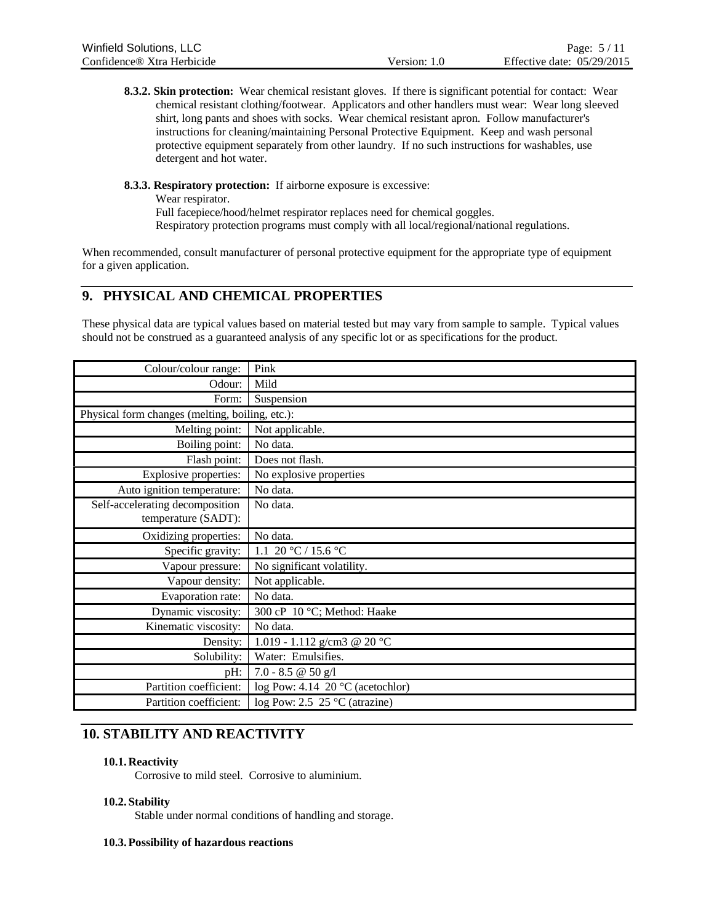**8.3.2. Skin protection:** Wear chemical resistant gloves. If there is significant potential for contact: Wear chemical resistant clothing/footwear. Applicators and other handlers must wear: Wear long sleeved shirt, long pants and shoes with socks. Wear chemical resistant apron. Follow manufacturer's instructions for cleaning/maintaining Personal Protective Equipment. Keep and wash personal protective equipment separately from other laundry. If no such instructions for washables, use detergent and hot water.

**8.3.3. Respiratory protection:** If airborne exposure is excessive:

Wear respirator. Full facepiece/hood/helmet respirator replaces need for chemical goggles. Respiratory protection programs must comply with all local/regional/national regulations.

When recommended, consult manufacturer of personal protective equipment for the appropriate type of equipment for a given application.

## **9. PHYSICAL AND CHEMICAL PROPERTIES**

These physical data are typical values based on material tested but may vary from sample to sample. Typical values should not be construed as a guaranteed analysis of any specific lot or as specifications for the product.

| Colour/colour range:                            | Pink                                      |
|-------------------------------------------------|-------------------------------------------|
| Odour:                                          | Mild                                      |
| Form:                                           | Suspension                                |
| Physical form changes (melting, boiling, etc.): |                                           |
| Melting point:                                  | Not applicable.                           |
| Boiling point:                                  | No data.                                  |
| Flash point:                                    | Does not flash.                           |
| <b>Explosive properties:</b>                    | No explosive properties                   |
| Auto ignition temperature:                      | No data.                                  |
| Self-accelerating decomposition                 | No data.                                  |
| temperature (SADT):                             |                                           |
| Oxidizing properties:                           | No data.                                  |
| Specific gravity:                               | 1.1 20 °C / 15.6 °C                       |
| Vapour pressure:                                | No significant volatility.                |
| Vapour density:                                 | Not applicable.                           |
| Evaporation rate:                               | No data.                                  |
| Dynamic viscosity:                              | 300 cP 10 °C; Method: Haake               |
| Kinematic viscosity:                            | No data.                                  |
| Density:                                        | 1.019 - 1.112 g/cm3 @ 20 °C               |
| Solubility:                                     | Water: Emulsifies.                        |
| pH:                                             | $7.0 - 8.5 \ @ \ 50 \ g/l$                |
| Partition coefficient:                          | log Pow: 4.14 20 $\degree$ C (acetochlor) |
| Partition coefficient:                          | log Pow: 2.5 $25^{\circ}$ C (atrazine)    |

## **10. STABILITY AND REACTIVITY**

### **10.1. Reactivity**

Corrosive to mild steel. Corrosive to aluminium.

### **10.2. Stability**

Stable under normal conditions of handling and storage.

### **10.3.Possibility of hazardous reactions**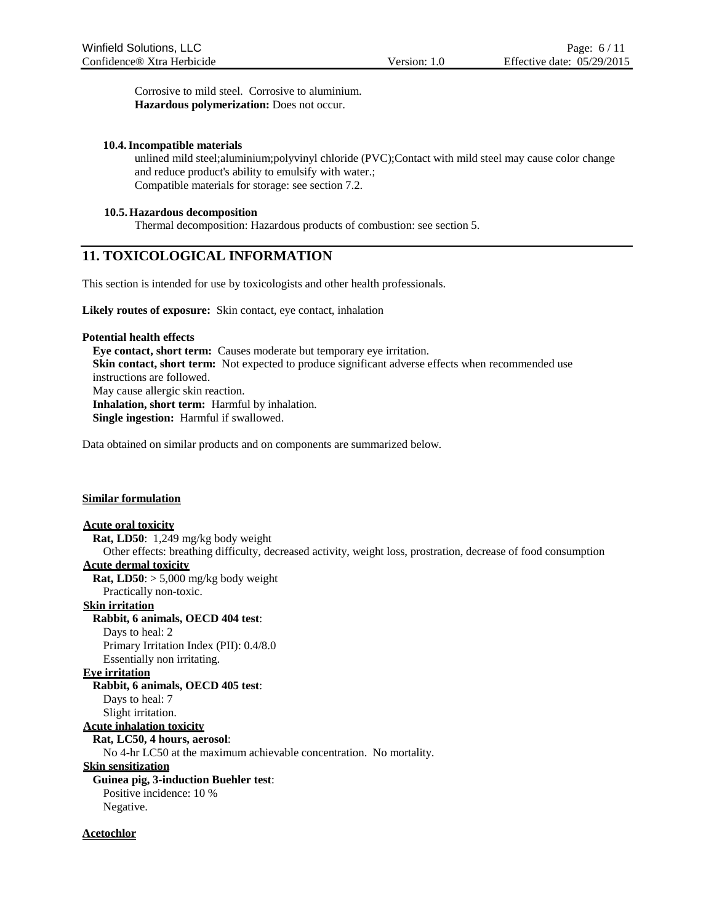Corrosive to mild steel. Corrosive to aluminium. **Hazardous polymerization:** Does not occur.

#### **10.4.Incompatible materials**

unlined mild steel;aluminium;polyvinyl chloride (PVC);Contact with mild steel may cause color change and reduce product's ability to emulsify with water.; Compatible materials for storage: see section 7.2.

#### **10.5.Hazardous decomposition**

Thermal decomposition: Hazardous products of combustion: see section 5.

## **11. TOXICOLOGICAL INFORMATION**

This section is intended for use by toxicologists and other health professionals.

**Likely routes of exposure:** Skin contact, eye contact, inhalation

#### **Potential health effects**

**Eye contact, short term:** Causes moderate but temporary eye irritation. **Skin contact, short term:** Not expected to produce significant adverse effects when recommended use instructions are followed. May cause allergic skin reaction. **Inhalation, short term:** Harmful by inhalation. **Single ingestion:** Harmful if swallowed.

Data obtained on similar products and on components are summarized below.

#### **Similar formulation**

#### **Acute oral toxicity**

**Rat, LD50**: 1,249 mg/kg body weight

Other effects: breathing difficulty, decreased activity, weight loss, prostration, decrease of food consumption **Acute dermal toxicity**

**Rat, LD50**: > 5,000 mg/kg body weight

Practically non-toxic.

#### **Skin irritation**

### **Rabbit, 6 animals, OECD 404 test**:

Days to heal: 2 Primary Irritation Index (PII): 0.4/8.0 Essentially non irritating.

#### **Eye irritation**

**Rabbit, 6 animals, OECD 405 test**: Days to heal: 7 Slight irritation. **Acute inhalation toxicity Rat, LC50, 4 hours, aerosol**:

No 4-hr LC50 at the maximum achievable concentration. No mortality.

**Skin sensitization**

**Guinea pig, 3-induction Buehler test**:

Positive incidence: 10 % Negative.

#### **Acetochlor**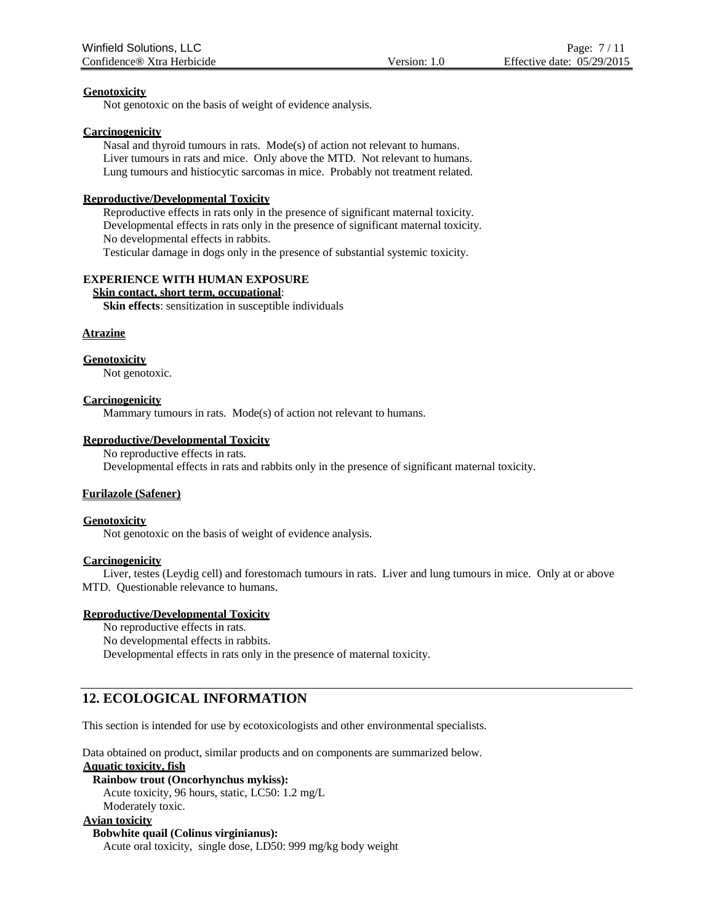#### **Genotoxicity**

Not genotoxic on the basis of weight of evidence analysis.

#### **Carcinogenicity**

Nasal and thyroid tumours in rats. Mode(s) of action not relevant to humans. Liver tumours in rats and mice. Only above the MTD. Not relevant to humans. Lung tumours and histiocytic sarcomas in mice. Probably not treatment related.

#### **Reproductive/Developmental Toxicity**

Reproductive effects in rats only in the presence of significant maternal toxicity. Developmental effects in rats only in the presence of significant maternal toxicity. No developmental effects in rabbits.

Testicular damage in dogs only in the presence of substantial systemic toxicity.

#### **EXPERIENCE WITH HUMAN EXPOSURE**

#### **Skin contact, short term, occupational**:

**Skin effects**: sensitization in susceptible individuals

#### **Atrazine**

#### **Genotoxicity**

Not genotoxic.

#### **Carcinogenicity**

Mammary tumours in rats. Mode(s) of action not relevant to humans.

#### **Reproductive/Developmental Toxicity**

No reproductive effects in rats.

Developmental effects in rats and rabbits only in the presence of significant maternal toxicity.

#### **Furilazole (Safener)**

#### **Genotoxicity**

Not genotoxic on the basis of weight of evidence analysis.

#### **Carcinogenicity**

Liver, testes (Leydig cell) and forestomach tumours in rats. Liver and lung tumours in mice. Only at or above MTD. Questionable relevance to humans.

#### **Reproductive/Developmental Toxicity**

No reproductive effects in rats. No developmental effects in rabbits. Developmental effects in rats only in the presence of maternal toxicity.

## **12. ECOLOGICAL INFORMATION**

This section is intended for use by ecotoxicologists and other environmental specialists.

Data obtained on product, similar products and on components are summarized below.

**Aquatic toxicity, fish**

**Rainbow trout (Oncorhynchus mykiss):** Acute toxicity, 96 hours, static, LC50: 1.2 mg/L

Moderately toxic.

#### **Avian toxicity**

**Bobwhite quail (Colinus virginianus):** Acute oral toxicity, single dose, LD50: 999 mg/kg body weight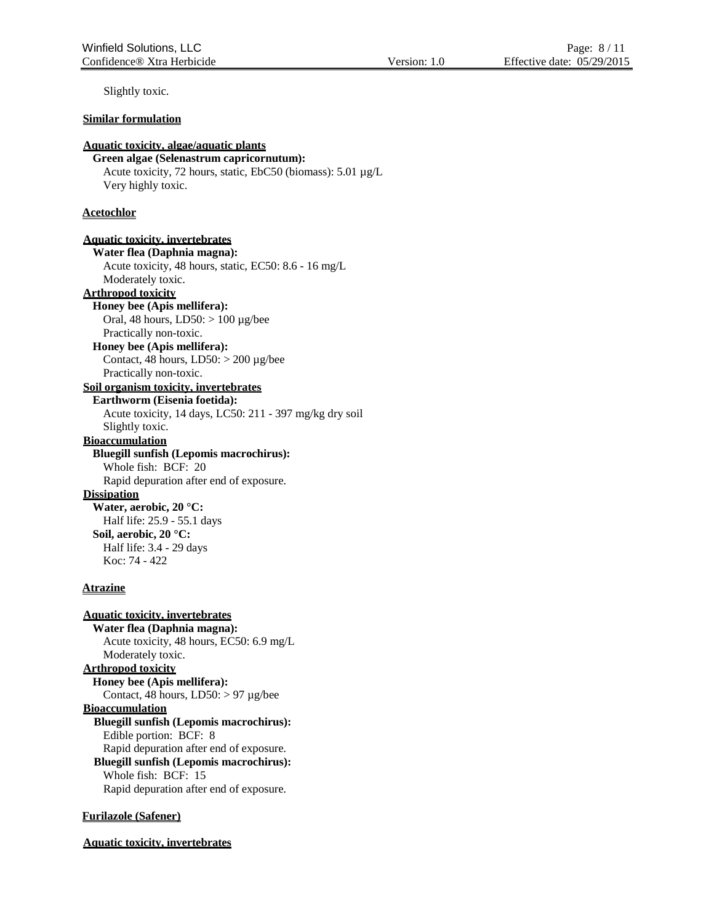Slightly toxic.

#### **Similar formulation**

### **Aquatic toxicity, algae/aquatic plants**

**Green algae (Selenastrum capricornutum):** Acute toxicity, 72 hours, static, EbC50 (biomass): 5.01 µg/L Very highly toxic.

#### **Acetochlor**

**Aquatic toxicity, invertebrates Water flea (Daphnia magna):** Acute toxicity, 48 hours, static, EC50: 8.6 - 16 mg/L Moderately toxic. **Arthropod toxicity Honey bee (Apis mellifera):** Oral, 48 hours,  $LD50$ :  $> 100 \mu$ g/bee Practically non-toxic. **Honey bee (Apis mellifera):** Contact, 48 hours,  $LD50: > 200 \mu g/bee$ Practically non-toxic. **Soil organism toxicity, invertebrates Earthworm (Eisenia foetida):**

Acute toxicity, 14 days, LC50: 211 - 397 mg/kg dry soil Slightly toxic. **Bioaccumulation**

**Bluegill sunfish (Lepomis macrochirus):** Whole fish: BCF: 20

Rapid depuration after end of exposure.

**Dissipation**

**Water, aerobic, 20 °C:** Half life: 25.9 - 55.1 days **Soil, aerobic, 20 °C:** Half life: 3.4 - 29 days Koc: 74 - 422

#### **Atrazine**

**Aquatic toxicity, invertebrates Water flea (Daphnia magna):** Acute toxicity, 48 hours, EC50: 6.9 mg/L Moderately toxic. **Arthropod toxicity Honey bee (Apis mellifera):** Contact, 48 hours,  $LD50$ :  $> 97 \mu$ g/bee **Bioaccumulation Bluegill sunfish (Lepomis macrochirus):** Edible portion: BCF: 8 Rapid depuration after end of exposure. **Bluegill sunfish (Lepomis macrochirus):** Whole fish: BCF: 15 Rapid depuration after end of exposure.

#### **Furilazole (Safener)**

**Aquatic toxicity, invertebrates**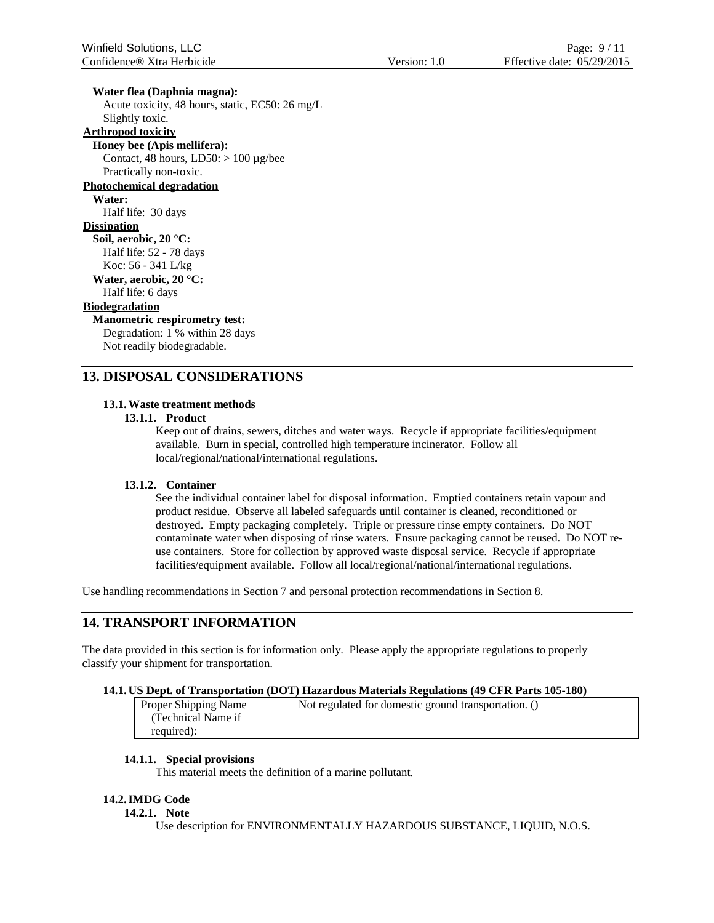**Water flea (Daphnia magna):**

Acute toxicity, 48 hours, static, EC50: 26 mg/L Slightly toxic.

## **Arthropod toxicity**

**Honey bee (Apis mellifera):** Contact, 48 hours,  $LD50: > 100 \mu g/bee$ Practically non-toxic. **Photochemical degradation Water:**

Half life: 30 days

## **Dissipation**

**Soil, aerobic, 20 °C:** Half life: 52 - 78 days Koc: 56 - 341 L/kg

**Water, aerobic, 20 °C:** Half life: 6 days

#### **Biodegradation**

**Manometric respirometry test:** Degradation: 1 % within 28 days

Not readily biodegradable.

## **13. DISPOSAL CONSIDERATIONS**

#### **13.1.Waste treatment methods**

#### **13.1.1. Product**

Keep out of drains, sewers, ditches and water ways. Recycle if appropriate facilities/equipment available. Burn in special, controlled high temperature incinerator. Follow all local/regional/national/international regulations.

#### **13.1.2. Container**

See the individual container label for disposal information. Emptied containers retain vapour and product residue. Observe all labeled safeguards until container is cleaned, reconditioned or destroyed. Empty packaging completely. Triple or pressure rinse empty containers. Do NOT contaminate water when disposing of rinse waters. Ensure packaging cannot be reused. Do NOT reuse containers. Store for collection by approved waste disposal service. Recycle if appropriate facilities/equipment available. Follow all local/regional/national/international regulations.

Use handling recommendations in Section 7 and personal protection recommendations in Section 8.

## **14. TRANSPORT INFORMATION**

The data provided in this section is for information only. Please apply the appropriate regulations to properly classify your shipment for transportation.

#### **14.1. US Dept. of Transportation (DOT) Hazardous Materials Regulations (49 CFR Parts 105-180)**

| Proper Shipping Name | Not regulated for domestic ground transportation. () |
|----------------------|------------------------------------------------------|
| (Technical Name if   |                                                      |
| required):           |                                                      |

#### **14.1.1. Special provisions**

This material meets the definition of a marine pollutant.

#### **14.2.IMDG Code**

#### **14.2.1. Note**

Use description for ENVIRONMENTALLY HAZARDOUS SUBSTANCE, LIQUID, N.O.S.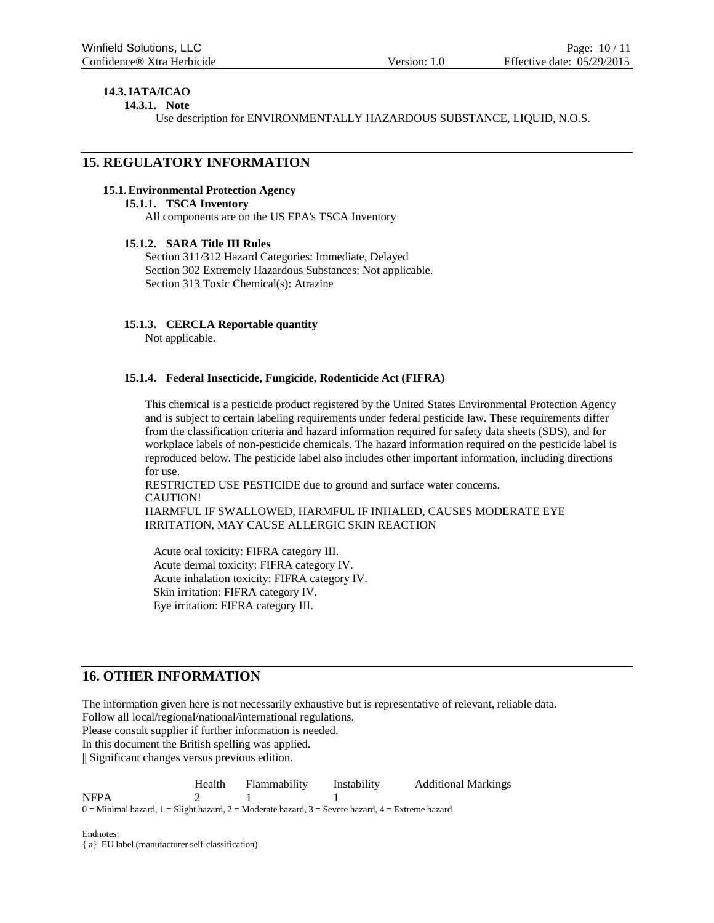## **14.3.IATA/ICAO**

**14.3.1. Note**

Use description for ENVIRONMENTALLY HAZARDOUS SUBSTANCE, LIQUID, N.O.S.

## **15. REGULATORY INFORMATION**

#### **15.1.Environmental Protection Agency**

#### **15.1.1. TSCA Inventory**

All components are on the US EPA's TSCA Inventory

### **15.1.2. SARA Title III Rules**

Section 311/312 Hazard Categories: Immediate, Delayed Section 302 Extremely Hazardous Substances: Not applicable. Section 313 Toxic Chemical(s): Atrazine

#### **15.1.3. CERCLA Reportable quantity**

Not applicable.

#### **15.1.4. Federal Insecticide, Fungicide, Rodenticide Act (FIFRA)**

This chemical is a pesticide product registered by the United States Environmental Protection Agency and is subject to certain labeling requirements under federal pesticide law. These requirements differ from the classification criteria and hazard information required for safety data sheets (SDS), and for workplace labels of non-pesticide chemicals. The hazard information required on the pesticide label is reproduced below. The pesticide label also includes other important information, including directions for use.

RESTRICTED USE PESTICIDE due to ground and surface water concerns. CAUTION! HARMFUL IF SWALLOWED, HARMFUL IF INHALED, CAUSES MODERATE EYE IRRITATION, MAY CAUSE ALLERGIC SKIN REACTION

Acute oral toxicity: FIFRA category III. Acute dermal toxicity: FIFRA category IV. Acute inhalation toxicity: FIFRA category IV. Skin irritation: FIFRA category IV. Eye irritation: FIFRA category III.

## **16. OTHER INFORMATION**

The information given here is not necessarily exhaustive but is representative of relevant, reliable data.

Follow all local/regional/national/international regulations.

Please consult supplier if further information is needed.

In this document the British spelling was applied.

|| Significant changes versus previous edition.

Health Flammability Instability Additional Markings 2 1 1 NFPA  $0 =$ Minimal hazard,  $1 =$ Slight hazard,  $2 =$ Moderate hazard,  $3 =$ Severe hazard,  $4 =$ Extreme hazard

Endnotes: { a} EU label (manufacturer self-classification)